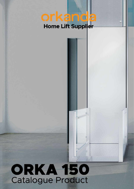# orkanda Home Lift Supplier

# **ORKA 150 Catalogue Product**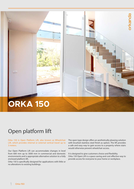# **ORKA 150**

# Open platform lift

Orka 150 is Open Platform Lift, also known as Wheelchair Lift, which provides internal or external vertical travel up to 3 meters.

Our Open Platform Lift can accommodate changes in level from 600 mm up to 3000 mm in commercial and domestic environments and is appropriate alternative solution to a fully enclosed platform lift.

Orka 150 is specifically designed for applications with little or no alterations to existing buildings.

The open type design offers an aesthetically pleasing solution with brushed stainless steel finish as option. The lift provides a safe and easy way to gain access to a property where stairs would otherwise prevent wheelchair access.

prkanda

It is designed to give customers choice and flexibility. Orka 150 Open Lift is a space saving and cost effective way to provide access for everyone to your home or workplace.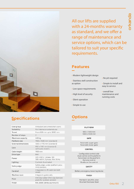prkanda

谜

## **Specifications Options**

User group Ambulant and wheelchair users Suitability For internal or external use From 600 mm up to 3000 mm Travel  $\mathsf{Z}$ Number of stops Maximum capacity 400 kg Platform size 1100 x 1400 mm (standard) **External dimensions** 1300 x 1770 mm (standard) 950 x 1100 mm (standard) Gate with auto closers Cabin height 1100 mm Drive type **Belt** 220-240 V, 1 phase, 16A Power 380-400 V, 3 phase, 10A, 50 Hz Lighting Controls illuminated Safety edge-under platform prox-Safety edge imity sensors Integrated to lift cabin (on both Handrail sides) Machine room Integral to guide rails Anti slip rubber (Anti slip diamond Floor plate for outdoor version) RAL 9006 (White aluminium) Finish

All our lifts are supplied with a 24-months warranty as standard, and we offer a range of maintenance and service options, which can be tailored to suit your specific requirements.

• No pit required

• overall low maintenance and running costs

• Simple to install and easy to service

## **Features**

- Modern lightweight design
- Stainless stell construction as option
- Low space requirements
- High level of security
- Silent operation
- Simple to use

#### **PLATFORM**

900 x 1400 mm 1000 x 1400 mm

### GATE

Automatic upper gate Automatic lower gate

#### **CONTROL**

Configurable control side Dual control on the platform Auto dialer on the platform Remote control Braille on the control

#### **SAFETY**

Battery emergency lowering device

#### **FINISH**

Painted in any RAL color **Brushed Stainlees Steel**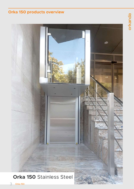## **Orka 150 products overview**

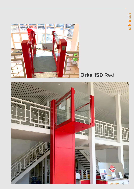

# **Orka 150** Red

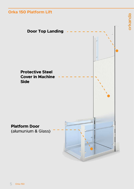## **Orka 150 Platform Lift**



orkanda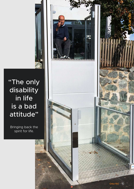

# "The only **disability** in life is a bad attitude"

Bringing back the spirit for life.